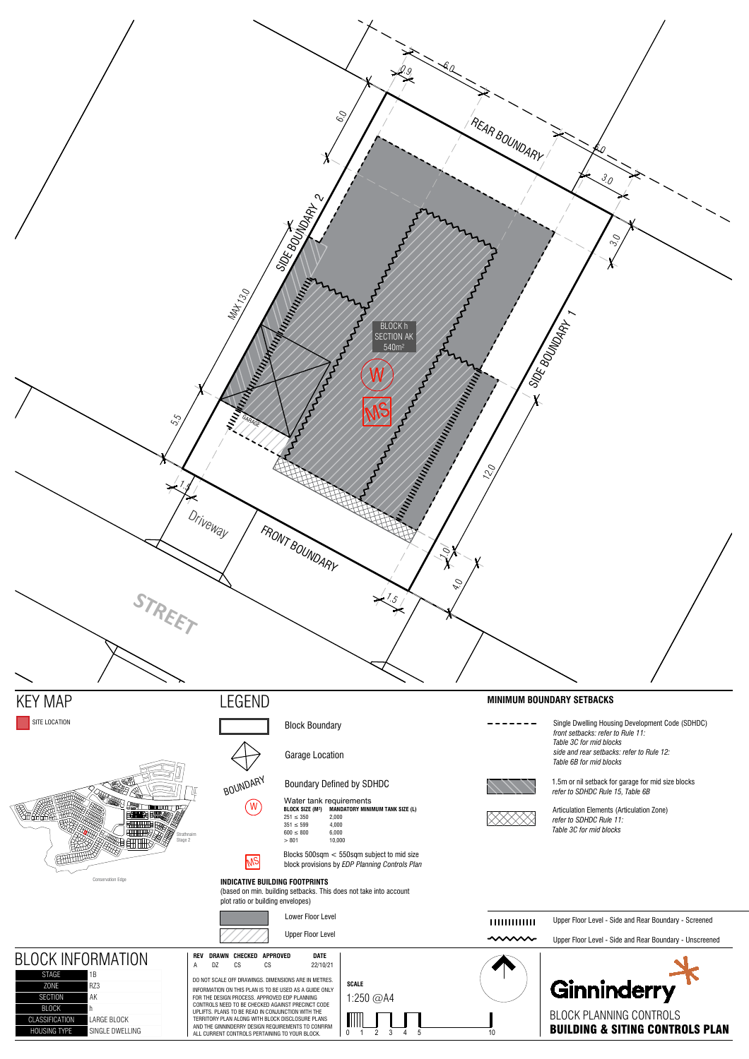